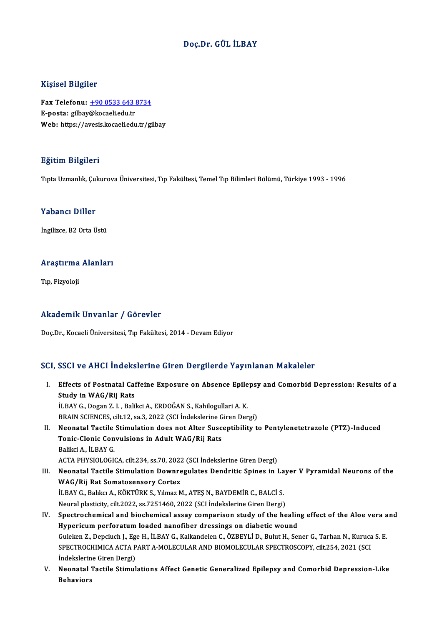#### Doç.Dr. GÜL İLBAY

#### Kişisel Bilgiler

Kişisel Bilgiler<br>Fax Telefonu: <u>+90 0533 643 8734</u><br>E nosta: silbay@keseli.edu.tr miyisər Birgirər<br>Fax Telefonu: <u>+90 0533 643 i</u><br>E-posta: gilbay[@kocaeli.edu.tr](tel:+90 0533 643 8734)<br>Web: https://avesis.kosaeli.edu.tr Fax Telefonu: <u>+90 0533 643 8734</u><br>E-posta: gilbay@kocaeli.edu.tr<br>Web: https://avesis.kocaeli.edu.tr/gilbay Web: https://avesis.kocaeli.edu.tr/gilbay<br>Eğitim Bilgileri

Tıpta Uzmanlık, Çukurova Üniversitesi, Tıp Fakültesi, Temel Tıp Bilimleri Bölümü, Türkiye 1993 - 1996

#### Yabancı Diller

İngilizce, B2 Orta Üstü

## ingilizce, B2 orta ostu<br>Araştırma Alanları <mark>Araştırma</mark><br>Tıp, Fizyoloji

# Akademik Unvanlar / Görevler

Doç.Dr.,KocaeliÜniversitesi,Tıp Fakültesi,2014 -DevamEdiyor

#### SCI, SSCI ve AHCI İndekslerine Giren Dergilerde Yayınlanan Makaleler

- CI, SSCI ve AHCI İndekslerine Giren Dergilerde Yayınlanan Makaleler<br>I. Effects of Postnatal Caffeine Exposure on Absence Epilepsy and Comorbid Depression: Results of a<br>Study in WAC (Bij Bote Study in Machines<br>Study in WAG/Rij Rats<br>ILBAV.C. Desen 7, L. Beli Effects of Postnatal Caffeine Exposure on Absence Epile<br>Study in WAG/Rij Rats<br>İLBAY G., Dogan Z. I. , Balikci A., ERDOĞAN S., Kahilogullari A. K.<br>PRAIN SCIENCES. silt 12. ss 2.2022 (SCI İndekslerine Giren Den Study in WAG/Rij Rats<br>İLBAY G., Dogan Z. I. , Balikci A., ERDOĞAN S., Kahilogullari A. K.<br>BRAIN SCIENCES, cilt.12, sa.3, 2022 (SCI İndekslerine Giren Dergi)<br>Neanatal Tastila Stimulation daes nat Altan Sussantibility t. ILBAY G., Dogan Z. I. , Balikci A., ERDOĞAN S., Kahilogullari A. K.<br>BRAIN SCIENCES, cilt.12, sa.3, 2022 (SCI İndekslerine Giren Dergi)<br>II. Neonatal Tactile Stimulation does not Alter Susceptibility to Pentylenetetrazole (P BRAIN SCIENCES, cilt.12, sa.3, 2022 (SCI İndekslerine G<br>Neonatal Tactile Stimulation does not Alter Susc<br>Tonic-Clonic Convulsions in Adult WAG/Rij Rats<br>Paliksi A. İl PAV C **Neonatal Tactile<br>Tonic-Clonic Con<br>Balikci A., İLBAY G.<br>ACTA PHYSIOLOCIL** Tonic-Clonic Convulsions in Adult WAG/Rij Rats<br>Balikci A., İLBAY G.<br>ACTA PHYSIOLOGICA, cilt.234, ss.70, 2022 (SCI İndekslerine Giren Dergi) Balikci A., İLBAY G.<br>ACTA PHYSIOLOGICA, cilt.234, ss.70, 2022 (SCI İndekslerine Giren Dergi)<br>III. Neonatal Tactile Stimulation Downregulates Dendritic Spines in Layer V Pyramidal Neurons of the<br>WAC (Bij Bet Sematesense WAG/Rij Rat Somatosensory Cortex Neonatal Tactile Stimulation Downregulates Dendritic Spines in La<br>WAG/Rij Rat Somatosensory Cortex<br>İLBAY G., Balıkcı A., KÖKTÜRK S., Yılmaz M., ATEŞ N., BAYDEMİR C., BALCİ S.<br>Naural plastisiy, silt 2022, ss 7251460, 2022 ( İLBAY G., Balıkcı A., KÖKTÜRK S., Yılmaz M., ATEŞ N., BAYDEMİR C., BALCİ S.<br>Neural plasticity, cilt.2022, ss.7251460, 2022 (SCI İndekslerine Giren Dergi) ILBAY G., Balıkcı A., KÖKTÜRK S., Yılmaz M., ATEŞ N., BAYDEMİR C., BALCİ S.<br>Neural plasticity, cilt.2022, ss.7251460, 2022 (SCI İndekslerine Giren Dergi)<br>IV. Spectrochemical and biochemical assay comparison study of the he Neural plasticity, cilt.2022, ss.7251460, 2022 (SCI İndekslerine Giren Dergi)<br>Spectrochemical and biochemical assay comparison study of the healin<br>Hypericum perforatum loaded nanofiber dressings on diabetic wound<br>Culakan Z Spectrochemical and biochemical assay comparison study of the healing effect of the Aloe vera a<br>Hypericum perforatum loaded nanofiber dressings on diabetic wound<br>Guleken Z., Depciuch J., Ege H., İLBAY G., Kalkandelen C., Ö Hypericum perforatum loaded nanofiber dressings on diabetic wound<br>Guleken Z., Depciuch J., Ege H., İLBAY G., Kalkandelen C., ÖZBEYLİ D., Bulut H., Sener G., Tarhan N., Kuruca<br>SPECTROCHIMICA ACTA PART A-MOLECULAR AND BIOMOL Guleken Z., Depciuch J., Eg<br>SPECTROCHIMICA ACTA P<br>İndekslerine Giren Dergi)<br>Neonatal Tastila Stimul
- V. Neonatal Tactile Stimulations Affect Genetic Generalized Epilepsy and Comorbid Depression-Like Behaviors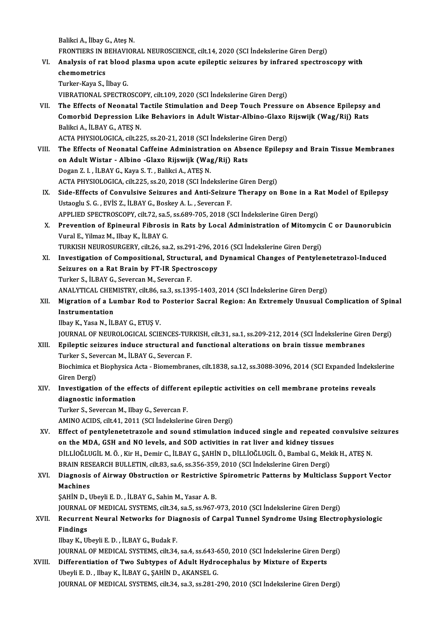BalikciA., İlbayG.,AteşN. Balikci A., İlbay G., Ateş N.<br>FRONTIERS IN BEHAVIORAL NEUROSCIENCE, cilt.14, 2020 (SCI İndekslerine Giren Dergi)<br>Analysis of nat blood plasma unan qaute opilantis saisunes by infranad spectros VI. Analysis of rat blood plasma upon acute epileptic seizures by infrared spectroscopy with FRONTIERS IN E<br>Analysis of rat<br>chemometrics<br>Turker Kave S Turker-Kaya S., İlbayG. VIBRATIONAL SPECTROSCOPY, cilt.109,2020 (SCI İndekslerineGirenDergi) Turker-Kaya S., İlbay G.<br>VIBRATIONAL SPECTROSCOPY, cilt.109, 2020 (SCI İndekslerine Giren Dergi)<br>VII. The Effects of Neonatal Tactile Stimulation and Deep Touch Pressure on Absence Epilepsy and<br>Comorbid Donression Like VIBRATIONAL SPECTROSCOPY, cilt.109, 2020 (SCI İndekslerine Giren Dergi)<br>The Effects of Neonatal Tactile Stimulation and Deep Touch Pressure on Absence Epilepsy a<br>Comorbid Depression Like Behaviors in Adult Wistar-Albino-Gl The Effects of Neonatal 1<br>Comorbid Depression Li<br>Balikci A., İLBAY G., ATEŞ N.<br>ACTA PHYSIOLOCICA cilt 23 Comorbid Depression Like Behaviors in Adult Wistar-Albino-Glaxo Rijswijk (Wag/Rij) Rats<br>Balikci A., İLBAY G., ATEŞ N.<br>ACTA PHYSIOLOGICA, cilt.225, ss.20-21, 2018 (SCI İndekslerine Giren Dergi) Balikci A., İLBAY G., ATEŞ N.<br>ACTA PHYSIOLOGICA, cilt.225, ss.20-21, 2018 (SCI İndekslerine Giren Dergi)<br>VIII. The Effects of Neonatal Caffeine Administration on Absence Epilepsy and Brain Tissue Membranes<br>Andre Wiston ACTA PHYSIOLOGICA, cilt.225, ss.20-21, 2018 (SCI İndekslerine<br>The Effects of Neonatal Caffeine Administration on Abse<br>on Adult Wistar - Albino -Glaxo Rijswijk (Wag/Rij) Rats<br>Dogan 7, L. il PAY C. Kova S.T., Poliksi A. ATES The Effects of Neonatal Caffeine Administration<br>Adult Wistar - Albino -Glaxo Rijswijk (Wa<sub>i</sub><br>Dogan Z. I. , İLBAY G., Kaya S. T. , Balikci A., ATEŞ N.<br>ACTA PHYSIQI QCICA .cilt 225, 88.20. 2018 (SCI İnde on Adult Wistar - Albino -Glaxo Rijswijk (Wag/Rij) Rats<br>Dogan Z. I. , İLBAY G., Kaya S. T. , Balikci A., ATEŞ N.<br>ACTA PHYSIOLOGICA, cilt.225, ss.20, 2018 (SCI İndekslerine Giren Dergi)<br>Sida Effects of Convulsive Seinunes a Dogan Z. I., İLBAY G., Kaya S. T., Balikci A., ATEŞ N.<br>ACTA PHYSIOLOGICA, cilt.225, ss.20, 2018 (SCI İndekslerine Giren Dergi)<br>IX. Side-Effects of Convulsive Seizures and Anti-Seizure Therapy on Bone in a Rat Model of Epil ACTA PHYSIOLOGICA, cilt.225, ss.20, 2018 (SCI İndekslerin<br>Side-Effects of Convulsive Seizures and Anti-Seizur<br>Ustaoglu S.G., EVİS Z., İLBAY G., Boskey A.L., Severcan F.<br>APRLIED SPECTROSCOPY, silt.72, 225, 22690, 705, 2019 Side-Effects of Convulsive Seizures and Anti-Seizure Therapy on Bone in a Ra<br>Ustaoglu S. G. , EVİS Z., İLBAY G., Boskey A. L. , Severcan F.<br>APPLIED SPECTROSCOPY, cilt.72, sa.5, ss.689-705, 2018 (SCI İndekslerine Giren Derg Ustaoglu S. G. , EVİS Z., İLBAY G., Boskey A. L. , Severcan F.<br>APPLIED SPECTROSCOPY, cilt.72, sa.5, ss.689-705, 2018 (SCI İndekslerine Giren Dergi)<br>X. Prevention of Epineural Fibrosis in Rats by Local Administration of Mit APPLIED SPECTROSCOPY, cilt.72, sa.:<br>Prevention of Epineural Fibrosis<br>Vural E., Yilmaz M., Ilbay K., İLBAY G.<br>TURKISH NEUROSURCERY, silt.26, sa Prevention of Epineural Fibrosis in Rats by Local Administration of Mitomycii<br>Vural E., Yilmaz M., Ilbay K., İLBAY G.<br>TURKISH NEUROSURGERY, cilt.26, sa.2, ss.291-296, 2016 (SCI İndekslerine Giren Dergi)<br>Investigation of Co Vural E., Yilmaz M., Ilbay K., İLBAY G.<br>TURKISH NEUROSURGERY, cilt26, sa.2, ss.291-296, 2016 (SCI İndekslerine Giren Dergi)<br>XI. Investigation of Compositional, Structural, and Dynamical Changes of Pentylenetetrazol-Ind TURKISH NEUROSURGERY, cilt.26, sa.2, ss.291-296, 2016 (SCI Indekslerine Giren Dergi)<br>Investigation of Compositional, Structural, and Dynamical Changes of Pentyle<br>Seizures on a Rat Brain by FT-IR Spectroscopy<br>Turker S., ILB Investigation of Compositional, Structure<br>Seizures on a Rat Brain by FT-IR Spectr<br>Turker S., İLBAY G., Severcan M., Severcan F.<br>ANALYTICAL CHEMISTRY silt 96, sp.3, sp.136 Seizures on a Rat Brain by FT-IR Spectroscopy<br>Turker S., İLBAY G., Severcan M., Severcan F.<br>ANALYTICAL CHEMISTRY, cilt.86, sa.3, ss.1395-1403, 2014 (SCI İndekslerine Giren Dergi)<br>Migration of a Lumbar Pod ta Postorior Sasr Turker S., İLBAY G., Severcan M., Severcan F.<br>ANALYTICAL CHEMISTRY, cilt.86, sa.3, ss.1395-1403, 2014 (SCI İndekslerine Giren Dergi)<br>XII. Migration of a Lumbar Rod to Posterior Sacral Region: An Extremely Unusual Compl ANALYTICAL CHEM<br>Migration of a Lu<br>Instrumentation<br><sup>Ilhov K.</sup> Yasa N. <sup>it I</sup> Migration of a Lumbar Rod to<br>Instrumentation<br>Ilbay K., Yasa N., İLBAY G., ETUŞ V.<br>IQUPNAL OF NEUPOLOCICAL SCIE Instrumentation<br>Ilbay K., Yasa N., İLBAY G., ETUŞ V.<br>JOURNAL OF NEUROLOGICAL SCIENCES-TURKISH, cilt.31, sa.1, ss.209-212, 2014 (SCI İndekslerine Giren Dergi) Ilbay K., Yasa N., İLBAY G., ETUŞ V.<br>JOURNAL OF NEUROLOGICAL SCIENCES-TURKISH, cilt.31, sa.1, ss.209-212, 2014 (SCI İndekslerine Gire<br>XIII. Epileptic seizures induce structural and functional alterations on brain tissue me TURNAL OF NEUROLOGICAL SCIENCES-TUR<br>Epileptic seizures induce structural and<br>Turker S., Severcan M., İLBAY G., Severcan F.<br>Bioshimisa et Bionhysisa Asta , Biomamhnan Biochimica et Biophysica Acta - Biomembranes, cilt.1838, sa.12, ss.3088-3096, 2014 (SCI Expanded İndekslerine<br>Giren Dergi) Turker S., Severcan M., İLBAY G., Severcan F. Biochimica et Biophysica Acta - Biomembranes, cilt.1838, sa.12, ss.3088-3096, 2014 (SCI Expanded İndeks<br>Giren Dergi)<br>XIV. Investigation of the effects of different epileptic activities on cell membrane proteins reveals<br>dia Giren Dergi)<br>Investigation of the effe<br>diagnostic information<br>Turken S. Seversen M. Ube diagnostic information<br>Turker S., Severcan M., Ilbay G., Severcan F. AMINO ACIDS, cilt.41, 2011 (SCI İndekslerine Giren Dergi) XV. Effect of pentylenetetrazole and sound stimulation induced single and repeated convulsive seizures AMINO ACIDS, cilt.41, 2011 (SCI İndekslerine Giren Dergi)<br>Effect of pentylenetetrazole and sound stimulation induced single and repeated c<br>on the MDA, GSH and NO levels, and SOD activities in rat liver and kidney tissues<br>p DİLLİOĞLUGİL M. Ö. , Kir H., Demir C., İLBAY G., ŞAHİN D., DİLLİOĞLUGİL Ö., Bambal G., Mekik H., ATEŞ N.<br>BRAIN RESEARCH BULLETIN, cilt.83, sa.6, ss.356-359, 2010 (SCI İndekslerine Giren Dergi) on the MDA, GSH and NO levels, and SOD activities in rat liver and kidney tissue:<br>DİLLİOĞLUGİL M. Ö., Kir H., Demir C., İLBAY G., ŞAHİN D., DİLLİOĞLUGİL Ö., Bambal G., Mek<br>BRAIN RESEARCH BULLETIN, cilt.83, sa.6, ss.356-359 DİLLİOĞLUGİL M. Ö. , Kir H., Demir C., İLBAY G., ŞAHİN D., DİLLİOĞLUGİL Ö., Bambal G., Mekik H., ATEŞ N.<br>BRAIN RESEARCH BULLETIN, cilt.83, sa.6, ss.356-359, 2010 (SCI İndekslerine Giren Dergi)<br>XVI. Diagnosis of Airway **BRAIN RES<br>Diagnosis<br>Machines<br>SAHIN D. L** Diagnosis of Airway Obstruction or Restrictive<br>Machines<br>ŞAHİN D., Ubeyli E. D. , İLBAY G., Sahin M., Yasar A. B.<br>JOUPNAL OE MEDICAL SYSTEMS silt 24, 82 5, 82 967 Machines<br>ŞAHİN D., Ubeyli E. D. , İLBAY G., Sahin M., Yasar A. B.<br>JOURNAL OF MEDICAL SYSTEMS, cilt.34, sa.5, ss.967-973, 2010 (SCI İndekslerine Giren Dergi) \$AHİN D., Ubeyli E. D. , İLBAY G., Sahin M., Yasar A. B.<br>JOURNAL OF MEDICAL SYSTEMS, cilt.34, sa.5, ss.967-973, 2010 (SCI İndekslerine Giren Dergi)<br>XVII. Recurrent Neural Networks for Diagnosis of Carpal Tunnel Syndrom Findings<br>Ilbay K., Ubeyli E. D., İLBAY G., Budak F. Recurrent Neural Networks for Dia<br>Findings<br>Ilbay K., Ubeyli E. D. , İLBAY G., Budak F.<br>JOUPNAL OE MEDICAL SYSTEMS .gilt 24 Findings<br>Ilbay K., Ubeyli E. D. , İLBAY G., Budak F.<br>JOURNAL OF MEDICAL SYSTEMS, cilt.34, sa.4, ss.643-650, 2010 (SCI İndekslerine Giren Dergi)<br>Differentiation of Tute Subtunes of Adult Hydrosenbalus by Mixtune of Experts Ilbay K., Ubeyli E. D. , İLBAY G., Budak F.<br>JOURNAL OF MEDICAL SYSTEMS, cilt.34, sa.4, ss.643-650, 2010 (SCI İndekslerine Giren De<br>XVIII. Differentiation of Two Subtypes of Adult Hydrocephalus by Mixture of Experts JOURNAL OF MEDICAL SYSTEMS, cilt.34, sa.4, ss.643-6<br>Differentiation of Two Subtypes of Adult Hydro<br>Ubeyli E. D. , Ilbay K., İLBAY G., ŞAHİN D., AKANSEL G.<br>JOURNAL OF MEDICAL SYSTEMS, silt.34, sa.3, ss.381-5 Differentiation of Two Subtypes of Adult Hydrocephalus by Mixture of Experts<br>Ubeyli E. D. , Ilbay K., İLBAY G., ŞAHİN D., AKANSEL G.<br>JOURNAL OF MEDICAL SYSTEMS, cilt.34, sa.3, ss.281-290, 2010 (SCI İndekslerine Giren Dergi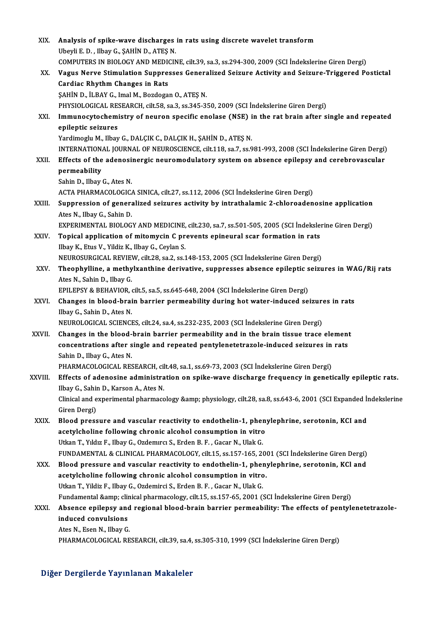| XIX.         | Analysis of spike-wave discharges in rats using discrete wavelet transform                                                                |
|--------------|-------------------------------------------------------------------------------------------------------------------------------------------|
|              | Ubeyli E.D., Ilbay G., ŞAHİN D., ATEŞ N.                                                                                                  |
|              | COMPUTERS IN BIOLOGY AND MEDICINE, cilt.39, sa.3, ss.294-300, 2009 (SCI İndekslerine Giren Dergi)                                         |
| XX.          | Vagus Nerve Stimulation Suppresses Generalized Seizure Activity and Seizure-Triggered Postictal                                           |
|              | Cardiac Rhythm Changes in Rats                                                                                                            |
|              | ŞAHİN D., İLBAY G., Imal M., Bozdogan O., ATEŞ N.                                                                                         |
|              | PHYSIOLOGICAL RESEARCH, cilt.58, sa.3, ss.345-350, 2009 (SCI İndekslerine Giren Dergi)                                                    |
| XXI.         | Immunocytochemistry of neuron specific enolase (NSE) in the rat brain after single and repeated                                           |
|              | epileptic seizures                                                                                                                        |
|              | Yardimoglu M., Ilbay G., DALÇIK C., DALÇIK H., ŞAHİN D., ATEŞ N.                                                                          |
|              | INTERNATIONAL JOURNAL OF NEUROSCIENCE, cilt.118, sa.7, ss.981-993, 2008 (SCI İndekslerine Giren Dergi)                                    |
| XXII.        | Effects of the adenosinergic neuromodulatory system on absence epilepsy and cerebrovascular                                               |
|              | permeability                                                                                                                              |
|              | Sahin D., Ilbay G., Ates N.                                                                                                               |
|              | ACTA PHARMACOLOGICA SINICA, cilt.27, ss.112, 2006 (SCI İndekslerine Giren Dergi)                                                          |
| XXIII.       | Suppression of generalized seizures activity by intrathalamic 2-chloroadenosine application                                               |
|              | Ates N., Ilbay G., Sahin D.                                                                                                               |
|              | EXPERIMENTAL BIOLOGY AND MEDICINE, cilt.230, sa.7, ss.501-505, 2005 (SCI Indekslerine Giren Dergi)                                        |
| XXIV.        | Topical application of mitomycin C prevents epineural scar formation in rats                                                              |
|              | Ilbay K., Etus V., Yildiz K., Ilbay G., Ceylan S.<br>NEUROSURGICAL REVIEW, cilt.28, sa.2, ss.148-153, 2005 (SCI İndekslerine Giren Dergi) |
| XXV.         | Theophylline, a methylxanthine derivative, suppresses absence epileptic seizures in WAG/Rij rats                                          |
|              | Ates N., Sahin D., Ilbay G.                                                                                                               |
|              | EPILEPSY & BEHAVIOR, cilt.5, sa.5, ss.645-648, 2004 (SCI Indekslerine Giren Dergi)                                                        |
| XXVI.        | Changes in blood-brain barrier permeability during hot water-induced seizures in rats                                                     |
|              | Ilbay G., Sahin D., Ates N.                                                                                                               |
|              | NEUROLOGICAL SCIENCES, cilt.24, sa.4, ss.232-235, 2003 (SCI Indekslerine Giren Dergi)                                                     |
| <b>XXVII</b> | Changes in the blood-brain barrier permeability and in the brain tissue trace element                                                     |
|              | concentrations after single and repeated pentylenetetrazole-induced seizures in rats                                                      |
|              | Sahin D., Ilbay G., Ates N.                                                                                                               |
|              | PHARMACOLOGICAL RESEARCH, cilt.48, sa.1, ss.69-73, 2003 (SCI Indekslerine Giren Dergi)                                                    |
| XXVIII.      | Effects of adenosine administration on spike-wave discharge frequency in genetically epileptic rats.                                      |
|              | Ilbay G., Sahin D., Karson A., Ates N.                                                                                                    |
|              | Clinical and experimental pharmacology & physiology, cilt.28, sa.8, ss.643-6, 2001 (SCI Expanded Indekslerine                             |
|              | Giren Dergi)                                                                                                                              |
| XXIX.        | Blood pressure and vascular reactivity to endothelin-1, phenylephrine, serotonin, KCI and                                                 |
|              | acetylcholine following chronic alcohol consumption in vitro                                                                              |
|              | Utkan T., Yıldız F., Ilbay G., Ozdemırcı S., Erden B. F., Gacar N., Ulak G.                                                               |
|              | FUNDAMENTAL & CLINICAL PHARMACOLOGY, cilt.15, ss.157-165, 2001 (SCI İndekslerine Giren Dergi)                                             |
| XXX.         | Blood pressure and vascular reactivity to endothelin-1, phenylephrine, serotonin, KCl and                                                 |
|              | acetylcholine following chronic alcohol consumption in vitro.                                                                             |
|              | Utkan T., Yildiz F., Ilbay G., Ozdemirci S., Erden B. F., Gacar N., Ulak G.                                                               |
|              | Fundamental & clinical pharmacology, cilt.15, ss.157-65, 2001 (SCI İndekslerine Giren Dergi)                                              |
| XXXI.        | Absence epilepsy and regional blood-brain barrier permeability: The effects of pentylenetetrazole-                                        |
|              | induced convulsions                                                                                                                       |
|              | Ates N., Esen N., Ilbay G.                                                                                                                |
|              | PHARMACOLOGICAL RESEARCH, cilt.39, sa 4, ss 305-310, 1999 (SCI İndekslerine Giren Dergi)                                                  |
|              |                                                                                                                                           |

### Diğer Dergilerde Yayınlanan Makaleler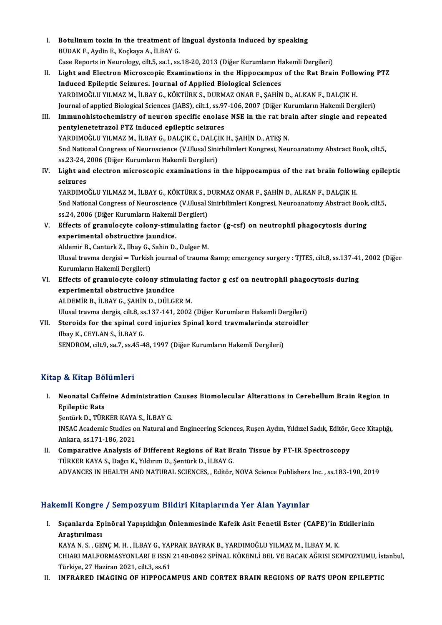- I. Botulinum toxin in the treatment of lingual dystonia induced by speaking<br>RUDAKE, Ardin E. Koskare A. H. BAX.C **Botulinum toxin in the treatment of<br>BUDAK F., Aydin E., Koçkaya A., İLBAY G.<br>Casa Banarta in Nauralagız gilt E. 82 1.93** BUDAK F., Aydin E., Koçkaya A., İLBAY G.<br>Case Reports in Neurology, cilt.5, sa.1, ss.18-20, 2013 (Diğer Kurumların Hakemli Dergileri) BUDAK F., Aydin E., Koçkaya A., İLBAY G.<br>Case Reports in Neurology, cilt.5, sa.1, ss.18-20, 2013 (Diğer Kurumların Hakemli Dergileri)<br>II. Light and Electron Microscopic Examinations in the Hippocampus of the Rat Brain
- Case Reports in Neurology, cilt.5, sa.1, ss.18-20, 2013 (Diğer Kurumların H.<br>Light and Electron Microscopic Examinations in the Hippocampus<br>Induced Epileptic Seizures. Journal of Applied Biological Sciences<br>YAPDIMOČLU VILM Light and Electron Microscopic Examinations in the Hippocampus of the Rat Brain Follo<br>Induced Epileptic Seizures. Journal of Applied Biological Sciences<br>YARDIMOĞLU YILMAZ M., İLBAY G., KÖKTÜRK S., DURMAZ ONAR F., ŞAHİN D., Induced Epileptic Seizures. Journal of Applied Biological Sciences<br>YARDIMOĞLU YILMAZ M., İLBAY G., KÖKTÜRK S., DURMAZ ONAR F., ŞAHİN D., ALKAN F., DALÇIK H.<br>Journal of applied Biological Sciences (JABS), cilt.1, ss.97-106, Journal of applied Biological Sciences (JABS), cilt.1, ss.97-106, 2007 (Diğer Kurumların Hakemli Dergileri)
- III. Immunohistochemistry of neuron specific enolase NSE in the rat brain after single and repeated pentylenetetrazol PTZ induced epileptic seizures Immunohistochemistry of neuron specific enolase NSE in the rat brand pentylenetetrazol PTZ induced epileptic seizures<br>YARDIMOĞLU YILMAZ M., İLBAY G., DALÇIK C., DALÇIK H., ŞAHİN D., ATEŞ N.<br>End National Congress of Nouvess 5nd National Congress of Neuroscience (V.Ulusal Sinirbilimleri Kongresi, Neuroanatomy Abstract Book, cilt.5, ss.23-24, 2006 (Diğer Kurumların Hakemli Dergileri) YARDIMOĞLU YILMAZ M., İLBAY G., DALÇIK C., DALÇI<br>5nd National Congress of Neuroscience (V.Ulusal Sini<br>ss.23-24, 2006 (Diğer Kurumların Hakemli Dergileri)<br>Light and electron misrossonis examinations in IV. Light and electron microscopic examinations in the hippocampus of the rat brain following epileptic<br>IV. Light and electron microscopic examinations in the hippocampus of the rat brain following epileptic<br>Coinunes
- ss.23-24, ;<br>Light and<br>seizures<br>vappIMO Light and electron microscopic examinations in the hippocampus of the rat brain follow<br>seizures<br>YARDIMOĞLU YILMAZ M., İLBAY G., KÖKTÜRK S., DURMAZ ONAR F., ŞAHİN D., ALKAN F., DALÇIK H.<br>End National Congress of Nouvessians

seizures<br>YARDIMOĞLU YILMAZ M., İLBAY G., KÖKTÜRK S., DURMAZ ONAR F., ŞAHİN D., ALKAN F., DALÇIK H.<br>5nd National Congress of Neuroscience (V.Ulusal Sinirbilimleri Kongresi, Neuroanatomy Abstract Book, cilt.5,<br>ss.24, 2006 (D YARDIMOĞLU YILMAZ M., İLBAY G., KÖKTÜRK S., I<br>5nd National Congress of Neuroscience (V.Ulusal S<br>ss.24, 2006 (Diğer Kurumların Hakemli Dergileri)<br>Effecta of granulaguta salanu etimulating faq Snd National Congress of Neuroscience (V.Ulusal Sinirbilimleri Kongresi, Neuroanatomy Abstract Book<br>ss.24, 2006 (Diğer Kurumların Hakemli Dergileri)<br>V. Effects of granulocyte colony-stimulating factor (g-csf) on neutrophil

experimental obstructive jaundice. Effects of granulocyte colony-stimulating faces<br>experimental obstructive jaundice.<br>Aldemir B., Canturk Z., Ilbay G., Sahin D., Dulger M.<br>Wixel traume dergisi – Turkish jaunnal of traume

Ulusal travma dergisi = Turkish journal of trauma & emergency surgery : TJTES, cilt.8, ss.137-41, 2002 (Diğer<br>Kurumların Hakemli Dergileri) Aldemir B., Canturk Z., Ilbay G., Sahin D., Dulger M. VI. Ulusal travma dergisi = Turkish journal of trauma & emergency surgery : TJTES, cilt.8, ss.137-41<br>Kurumların Hakemli Dergileri)<br>VI. Effects of granulocyte colony stimulating factor g csf on neutrophil phagocytosis d

- Kurumların Hakemli Dergileri)<br>Effects of granulocyte colony stimu<br>experimental obstructive jaundice<br>ALDEMIR R. İLRAV G. SAHİN D. DÜLCI experimental obstructive jaundice<br>ALDEMİR B., İLBAY G., ŞAHİN D., DÜLGER M. experimental obstructive jaundice<br>ALDEMİR B., İLBAY G., ŞAHİN D., DÜLGER M.<br>Ulusal travma dergis, cilt.8, ss.137-141, 2002 (Diğer Kurumların Hakemli Dergileri)<br>Starajda for the spinal sord injuries Spinal kord travmalarınd ALDEMİR B., İLBAY G., ŞAHİN D., DÜLGER M.<br>Ulusal travma dergis, cilt.8, ss.137-141, 2002 (Diğer Kurumların Hakemli Dergileri)<br>VII. Steroids for the spinal cord injuries Spinal kord travmalarinda steroidler<br><sup>Ulbay K.</sup> CEVLA
- Ulusal travma dergis, cilt.8, ss<br>Steroids for the spinal co<br>Ilbay K., CEYLAN S., İLBAY G.<br>SENDROM, cilt.9, 83, 7, 83,45,4 VII. Steroids for the spinal cord injuries Spinal kord travmalarinda steroidler<br>Ilbay K., CEYLAN S., İLBAY G.<br>SENDROM, cilt.9, sa.7, ss.45-48, 1997 (Diğer Kurumların Hakemli Dergileri)

#### Kitap & Kitap Bölümleri

itap & Kitap Bölümleri<br>I. Neonatal Caffeine Administration Causes Biomolecular Alterations in Cerebellum Brain Region in<br>Railentis Pets p & map Bo<br>Neonatal Caffe<br>Epileptic Rats<br>Sentirk D. T<sup>im</sup> Neonatal Caffeine Administration<br>Epileptic Rats<br>Şentürk D., TÜRKER KAYA S., İLBAY G.<br>INSAC Academis Studies on Natural an

Epileptic Rats<br>Şentürk D., TÜRKER KAYA S., İLBAY G.<br>INSAC Academic Studies on Natural and Engineering Sciences, Ruşen Aydın, Yıldızel Sadık, Editör, Gece Kitaplığı,<br>Ankara, ss.171-186, 2021 Şentürk D., TÜRKER KAYA<br>INSAC Academic Studies o<br>Ankara, ss.171-186, 2021<br>Comnarative Analysis o INSAC Academic Studies on Natural and Engineering Sciences, Rusen Aydın, Yıldızel Sadık, Editör,<br>Ankara, ss.171-186, 2021<br>II. Comparative Analysis of Different Regions of Rat Brain Tissue by FT-IR Spectroscopy<br>TÜRKER KAYA

Ankara, ss.171-186, 2021<br>Comparative Analysis of Different Regions of Rat Br<br>TÜRKER KAYA S., Dağcı K., Yıldırım D., Şentürk D., İLBAY G.<br>ADVANCES IN HEALTH AND NATUPAL SCIENCES., Editör. TÜRKER KAYA S., Dağcı K., Yıldırım D., Şentürk D., İLBAY G.<br>ADVANCES IN HEALTH AND NATURAL SCIENCES, , Editör, NOVA Science Publishers Inc. , ss.183-190, 2019

#### Hakemli Kongre / Sempozyum Bildiri Kitaplarında Yer Alan Yayınlar

akemli Kongre / Sempozyum Bildiri Kitaplarında Yer Alan Yayınlar<br>I. Sıçanlarda Epinöral Yapışıklığın Önlenmesinde Kafeik Asit Fenetil Ester (CAPE)'in Etkilerinin<br>Arastırılması Ann Rongre<br>Sıçanlarda Ep<br>Araştırılması Sıçanlarda Epinöral Yapışıklığın Önlenmesinde Kafeik Asit Fenetil Ester (CAPE)'in l<br>Araştırılması<br>KAYA N.S., GENÇ M.H., İLBAY G., YAPRAK BAYRAK B., YARDIMOĞLU YILMAZ M., İLBAY M. K.<br>CHIARI MALEORMASYONI ARI E ISSN 2148 094

Araştırılması<br>KAYA N. S. , GENÇ M. H. , İLBAY G., YAPRAK BAYRAK B., YARDIMOĞLU YILMAZ M., İLBAY M. K.<br>CHIARI MALFORMASYONLARI E ISSN 2148-0842 SPİNAL KÖKENLİ BEL VE BACAK AĞRISI SEMPOZYUMU, İstanbul,<br>Türkiye, 27 Herirar 20 KAYA N. S. , GENÇ M. H. , İLBAY G., YAPRAK BAYRAK B., YARDIMOĞLU YILMAZ M., İLBAY M. K.<br>CHIARI MALFORMASYONLARI E ISSN 2148-0842 SPİNAL KÖKENLİ BEL VE BACAK AĞRISI SEMPOZYUMU, İst<br>Türkiye, 27 Haziran 2021, cilt.3, ss.61<br>II CHIARI MALFORMASYONLARI E ISSN 2148-0842 SPİNAL KÖKENLİ BEL VE BACAK AĞRISI SEMPOZYUMU, İs<br>Türkiye, 27 Haziran 2021, cilt.3, ss.61<br>II. INFRARED IMAGING OF HIPPOCAMPUS AND CORTEX BRAIN REGIONS OF RATS UPON EPILEPTIC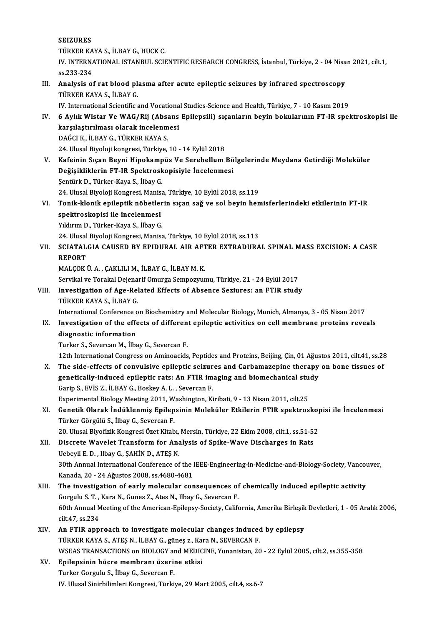|       | <b>SEIZURES</b>                                                                                                                                                                                                   |
|-------|-------------------------------------------------------------------------------------------------------------------------------------------------------------------------------------------------------------------|
|       | TÜRKER KAYA S., İLBAY G., HUCK C.                                                                                                                                                                                 |
|       | IV. INTERNATIONAL ISTANBUL SCIENTIFIC RESEARCH CONGRESS, İstanbul, Türkiye, 2 - 04 Nisan 2021, cilt.1,<br>ss 233-234                                                                                              |
| III.  | Analysis of rat blood plasma after acute epileptic seizures by infrared spectroscopy                                                                                                                              |
|       | TÜRKER KAYA S., İLBAY G.<br>IV. International Scientific and Vocational Studies-Science and Health, Türkiye, 7 - 10 Kasım 2019                                                                                    |
| IV.   | 6 Aylık Wistar Ve WAG/Rij (Absans Epilepsili) sıçanların beyin bokularının FT-IR spektroskopisi ile<br>karşılaştırılması olarak incelenmesi                                                                       |
|       | DAĞCI K, İLBAY G., TÜRKER KAYA S.                                                                                                                                                                                 |
|       | 24. Ulusal Biyoloji kongresi, Türkiye, 10 - 14 Eylül 2018                                                                                                                                                         |
| V.    | Kafeinin Sıçan Beyni Hipokampüs Ve Serebellum Bölgelerinde Meydana Getirdiği Moleküler                                                                                                                            |
|       | Değişikliklerin FT-IR Spektroskopisiyle İncelenmesi                                                                                                                                                               |
|       | Şentürk D., Türker-Kaya S., İlbay G.                                                                                                                                                                              |
|       | 24. Ulusal Biyoloji Kongresi, Manisa, Türkiye, 10 Eylül 2018, ss.119                                                                                                                                              |
| VI.   | Tonik-klonik epileptik nöbetlerin sıçan sağ ve sol beyin hemisferlerindeki etkilerinin FT-IR                                                                                                                      |
|       | spektroskopisi ile incelenmesi                                                                                                                                                                                    |
|       | Yıldırım D., Türker-Kaya S., İlbay G.                                                                                                                                                                             |
|       | 24. Ulusal Biyoloji Kongresi, Manisa, Türkiye, 10 Eylül 2018, ss.113                                                                                                                                              |
| VII.  | SCIATALGIA CAUSED BY EPIDURAL AIR AFTER EXTRADURAL SPINAL MASS EXCISION: A CASE                                                                                                                                   |
|       | <b>REPORT</b>                                                                                                                                                                                                     |
|       | MALÇOK Ü. A., ÇAKLILI M., İLBAY G., İLBAY M. K.                                                                                                                                                                   |
|       | Servikal ve Torakal Dejenarif Omurga Sempozyumu, Türkiye, 21 - 24 Eylül 2017                                                                                                                                      |
| VIII. | Investigation of Age-Related Effects of Absence Seziures: an FTIR study                                                                                                                                           |
|       | TÜRKER KAYA S., İLBAY G.                                                                                                                                                                                          |
|       | International Conference on Biochemistry and Molecular Biology, Munich, Almanya, 3 - 05 Nisan 2017                                                                                                                |
| IX.   | Investigation of the effects of different epileptic activities on cell membrane proteins reveals                                                                                                                  |
|       | diagnostic information                                                                                                                                                                                            |
|       | Turker S., Severcan M., İlbay G., Severcan F.                                                                                                                                                                     |
| X.    | 12th International Congress on Aminoacids, Peptides and Proteins, Beijing, Çin, 01 Ağustos 2011, cilt.41, ss.28<br>The side-effects of convulsive epileptic seizures and Carbamazepine therapy on bone tissues of |
|       | genetically-induced epileptic rats: An FTIR imaging and biomechanical study                                                                                                                                       |
|       | Garip S., EVIS Z., İLBAY G., Boskey A. L., Severcan F.<br>Experimental Biology Meeting 2011, Washington, Kiribati, 9 - 13 Nisan 2011, cilt.25                                                                     |
| XI.   | Genetik Olarak İndüklenmiş Epilepsinin Moleküler Etkilerin FTIR spektroskopisi ile İncelenmesi                                                                                                                    |
|       | Türker Görgülü S., İlbay G., Severcan F.                                                                                                                                                                          |
|       | 20. Ulusal Biyofizik Kongresi Özet Kitabı, Mersin, Türkiye, 22 Ekim 2008, cilt.1, ss.51-52                                                                                                                        |
| XII.  | Discrete Wavelet Transform for Analysis of Spike-Wave Discharges in Rats                                                                                                                                          |
|       | Uebeyli E. D., Ilbay G., ŞAHİN D., ATEŞ N.                                                                                                                                                                        |
|       | 30th Annual International Conference of the IEEE-Engineering-in-Medicine-and-Biology-Society, Vancouver,                                                                                                          |
|       | Kanada, 20 - 24 Ağustos 2008, ss 4680-4681                                                                                                                                                                        |
| XIII. | The investigation of early molecular consequences of chemically induced epileptic activity                                                                                                                        |
|       | Gorgulu S. T., Kara N., Gunes Z., Ates N., Ilbay G., Severcan F.                                                                                                                                                  |
|       | 60th Annual Meeting of the American-Epilepsy-Society, California, Amerika Birleşik Devletleri, 1 - 05 Aralık 2006,                                                                                                |
|       | cilt 47, ss 234                                                                                                                                                                                                   |
| XIV.  | An FTIR approach to investigate molecular changes induced by epilepsy                                                                                                                                             |
|       | TÜRKER KAYA S., ATEŞ N., İLBAY G., güneş z., Kara N., SEVERCAN F.                                                                                                                                                 |
|       | WSEAS TRANSACTIONS on BIOLOGY and MEDICINE, Yunanistan, 20 - 22 Eylül 2005, cilt.2, ss.355-358                                                                                                                    |
| XV.   | Epilepsinin hücre membranı üzerine etkisi                                                                                                                                                                         |
|       | Turker Gorgulu S., İlbay G., Severcan F.<br>IV. Ulusal Sinirbilimleri Kongresi, Türkiye, 29 Mart 2005, cilt.4, ss.6-7                                                                                             |
|       |                                                                                                                                                                                                                   |